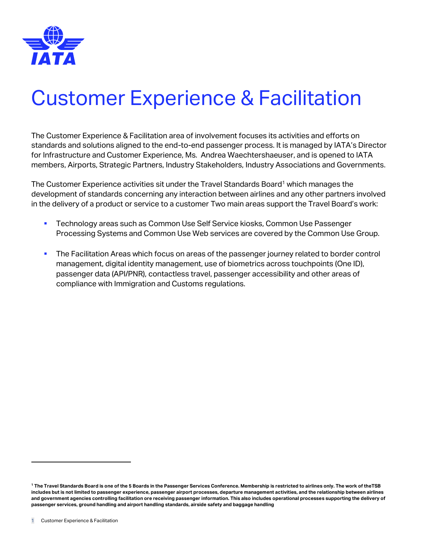

# Customer Experience & Facilitation

The Customer Experience & Facilitation area of involvement focuses its activities and efforts on standards and solutions aligned to the end-to-end passenger process. It is managed by IATA's Director for Infrastructure and Customer Experience, Ms. Andrea Waechtershaeuser, and is opened to IATA members, Airports, Strategic Partners, Industry Stakeholders, Industry Associations and Governments.

The Customer Experience activities sit under the Travel Standards Board<sup>1</sup> which manages the development of standards concerning any interaction between airlines and any other partners involved in the delivery of a product or service to a customer Two main areas support the Travel Board's work:

- **EXECO FIGHTS TECHNOLOGY Areas Such as Common Use Self Service kiosks, Common Use Passenger** Processing Systems and Common Use Web services are covered by the Common Use Group.
- **The Facilitation Areas which focus on areas of the passenger journey related to border control** management, digital identity management, use of biometrics across touchpoints (One ID), passenger data (API/PNR), contactless travel, passenger accessibility and other areas of compliance with Immigration and Customs regulations.

**<sup>1</sup> The Travel Standards Board is one of the 5 Boards in the Passenger Services Conference. Membership is restricted to airlines only. The work of theTSB includes but is not limited to passenger experience, passenger airport processes, departure management activities, and the relationship between airlines and government agencies controlling facilitation ore receiving passenger information. This also includes operational processes supporting the delivery of passenger services, ground handling and airport handling standards, airside safety and baggage handling**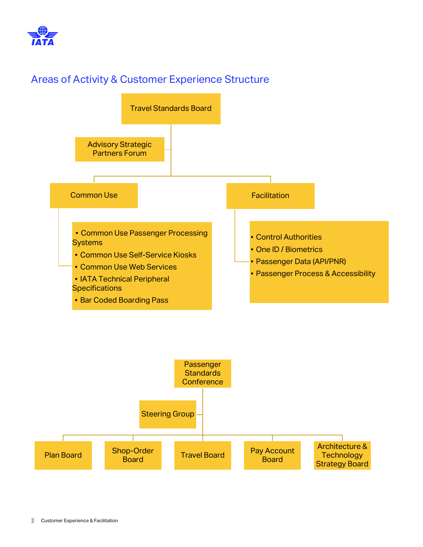

## Areas of Activity & Customer Experience Structure



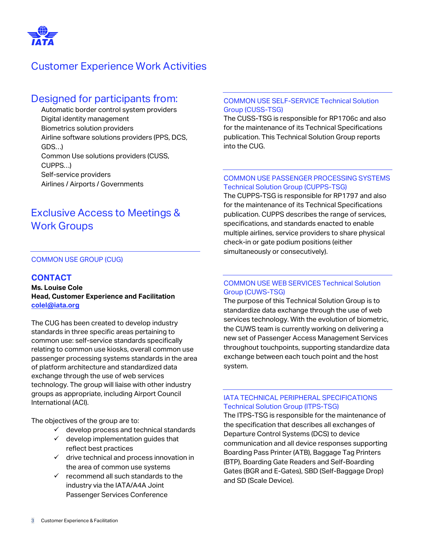

## Customer Experience Work Activities

### Designed for participants from:

Automatic border control system providers Digital identity management Biometrics solution providers Airline software solutions providers (PPS, DCS, GDS…) Common Use solutions providers (CUSS, CUPPS…) Self-service providers Airlines / Airports / Governments

## Exclusive Access to Meetings & Work Groups

#### COMMON USE GROUP (CUG)

#### **CONTACT**

**Ms. Louise Cole Head, Customer Experience and Facilitation [colel@iata.org](mailto:colel@iata.org)**

The CUG has been created to develop industry standards in three specific areas pertaining to common use: self-service standards specifically relating to common use kiosks, overall common use passenger processing systems standards in the area of platform architecture and standardized data exchange through the use of web services technology. The group will liaise with other industry groups as appropriate, including Airport Council International (ACI).

The objectives of the group are to:

- $\checkmark$  develop process and technical standards
- $\checkmark$  develop implementation quides that reflect best practices
- $\checkmark$  drive technical and process innovation in the area of common use systems
- $\checkmark$  recommend all such standards to the industry via the IATA/A4A Joint Passenger Services Conference

#### COMMON USE SELF-SERVICE Technical Solution Group (CUSS-TSG)

The CUSS-TSG is responsible for RP1706c and also for the maintenance of its Technical Specifications publication. This Technical Solution Group reports into the CUG.

#### COMMON USE PASSENGER PROCESSING SYSTEMS Technical Solution Group (CUPPS-TSG)

The CUPPS-TSG is responsible for RP1797 and also for the maintenance of its Technical Specifications publication. CUPPS describes the range of services, specifications, and standards enacted to enable multiple airlines, service providers to share physical check-in or gate podium positions (either simultaneously or consecutively).

#### COMMON USE WEB SERVICES Technical Solution Group (CUWS-TSG)

The purpose of this Technical Solution Group is to standardize data exchange through the use of web services technology. With the evolution of biometric, the CUWS team is currently working on delivering a new set of Passenger Access Management Services throughout touchpoints, supporting standardize data exchange between each touch point and the host system.

#### IATA TECHNICAL PERIPHERAL SPECIFICATIONS Technical Solution Group (ITPS-TSG)

The ITPS-TSG is responsible for the maintenance of the specification that describes all exchanges of Departure Control Systems (DCS) to device communication and all device responses supporting Boarding Pass Printer (ATB), Baggage Tag Printers (BTP), Boarding Gate Readers and Self-Boarding Gates (BGR and E-Gates), SBD (Self-Baggage Drop) and SD (Scale Device).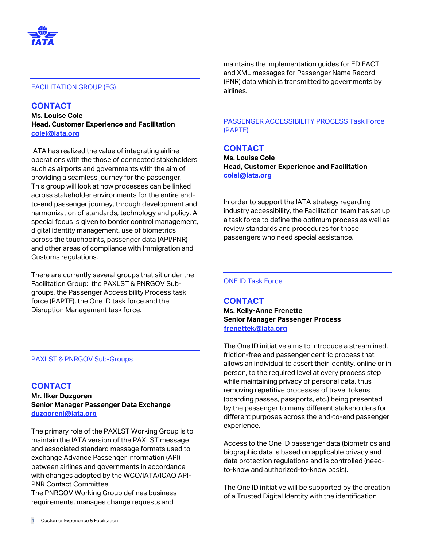

#### FACILITATION GROUP (FG)

#### **CONTACT**

**Ms. Louise Cole Head, Customer Experience and Facilitation [colel@iata.org](mailto:colel@iata.org)**

IATA has realized the value of integrating airline operations with the those of connected stakeholders such as airports and governments with the aim of providing a seamless journey for the passenger. This group will look at how processes can be linked across stakeholder environments for the entire endto-end passenger journey, through development and harmonization of standards, technology and policy. A special focus is given to border control management, digital identity management, use of biometrics across the touchpoints, passenger data (API/PNR) and other areas of compliance with Immigration and Customs regulations.

There are currently several groups that sit under the Facilitation Group: the PAXLST & PNRGOV Subgroups, the Passenger Accessibility Process task force (PAPTF), the One ID task force and the Disruption Management task force.

#### PAXLST & PNRGOV Sub-Groups

#### **CONTACT**

**Mr. Ilker Duzgoren Senior Manager Passenger Data Exchange [duzgoreni@iata.org](mailto:duzgoreni@iata.org)**

The primary role of the PAXLST Working Group is to maintain the IATA version of the PAXLST message and associated standard message formats used to exchange Advance Passenger Information (API) between airlines and governments in accordance with changes adopted by the WCO/IATA/ICAO API-PNR Contact Committee.

The PNRGOV Working Group defines business requirements, manages change requests and

maintains the implementation guides for EDIFACT and XML messages for Passenger Name Record (PNR) data which is transmitted to governments by airlines.

#### PASSENGER ACCESSIBILITY PROCESS Task Force (PAPTF)

#### **CONTACT**

**Ms. Louise Cole Head, Customer Experience and Facilitation [colel@iata.org](mailto:colel@iata.org)**

In order to support the IATA strategy regarding industry accessibility, the Facilitation team has set up a task force to define the optimum process as well as review standards and procedures for those passengers who need special assistance.

#### ONE ID Task Force

#### **CONTACT**

**Ms. Kelly-Anne Frenette Senior Manager Passenger Process [frenettek@iata.org](mailto:frenettek@iata.org)** 

The One ID initiative aims to introduce a streamlined, friction-free and passenger centric process that allows an individual to assert their identity, online or in person, to the required level at every process step while maintaining privacy of personal data, thus removing repetitive processes of travel tokens (boarding passes, passports, etc.) being presented by the passenger to many different stakeholders for different purposes across the end-to-end passenger experience.

Access to the One ID passenger data (biometrics and biographic data is based on applicable privacy and data protection regulations and is controlled (needto-know and authorized-to-know basis).

The One ID initiative will be supported by the creation of a Trusted Digital Identity with the identification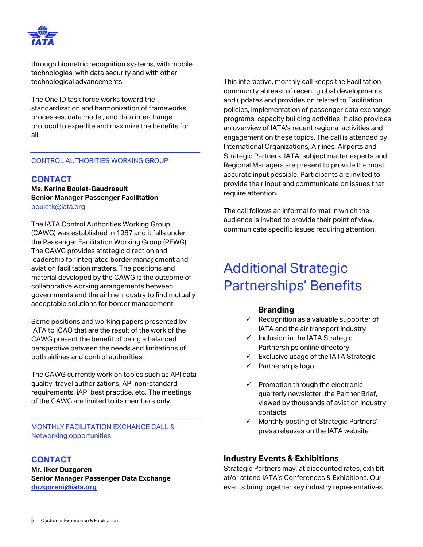

through biometric recognition systems, with mobile technologies, with data security and with other technological advancements.

The One ID task force works toward the standardization and harmonization of frameworks, processes, data model, and data interchange protocol to expedite and maximize the benefits for all.

#### CONTROL AUTHORITIES WORKING GROUP

#### **CONTACT**

**Ms. Karine Boulet-Gaudreault Senior Manager Passenger Facilitation** [bouletk@iata.org](mailto:bouletk@iata.org)

The IATA Control Authorities Working Group (CAWG) was established in 1987 and it falls under the Passenger Facilitation Working Group (PFWG). The CAWG provides strategic direction and leadership for integrated border management and aviation facilitation matters. The positions and material developed by the CAWG is the outcome of collaborative working arrangements between governments and the airline industry to find mutually acceptable solutions for border management.

Some positions and working papers presented by IATA to ICAO that are the result of the work of the CAWG present the benefit of being a balanced perspective between the needs and limitations of both airlines and control authorities.

The CAWG currently work on topics such as API data quality, travel authorizations, API non-standard requirements, iAPI best practice, etc. The meetings of the CAWG are limited to its members only.

MONTHLY FACILITATION EXCHANGE CALL & Networking opportunities

#### **CONTACT**

**Mr. Ilker Duzgoren Senior Manager Passenger Data Exchange [duzgoreni@iata.org](mailto:duzgoreni@iata.org)**

This interactive, monthly call keeps the Facilitation community abreast of recent global developments and updates and provides on related to Facilitation policies, implementation of passenger data exchange programs, capacity building activities. It also provides an overview of IATA's recent regional activities and engagement on these topics. The call is attended by International Organizations, Airlines, Airports and Strategic Partners. IATA, subject matter experts and Regional Managers are present to provide the most accurate input possible. Participants are invited to provide their input and communicate on issues that require attention.

The call follows an informal format in which the audience is invited to provide their point of view, communicate specific issues requiring attention.

## Additional Strategic Partnerships' Benefits

#### **Branding**

- $\checkmark$  Recognition as a valuable supporter of IATA and the air transport industry
- ✓ Inclusion in the IATA Strategic Partnerships online directory
- Exclusive usage of the IATA Strategic
- ✓ Partnerships logo
- $\checkmark$  Promotion through the electronic quarterly newsletter, the Partner Brief, viewed by thousands of aviation industry contacts
- ✓ Monthly posting of Strategic Partners' press releases on the IATA website

#### **Industry Events & Exhibitions**

Strategic Partners may, at discounted rates, exhibit at/or attend IATA's Conferences & Exhibitions. Our events bring together key industry representatives